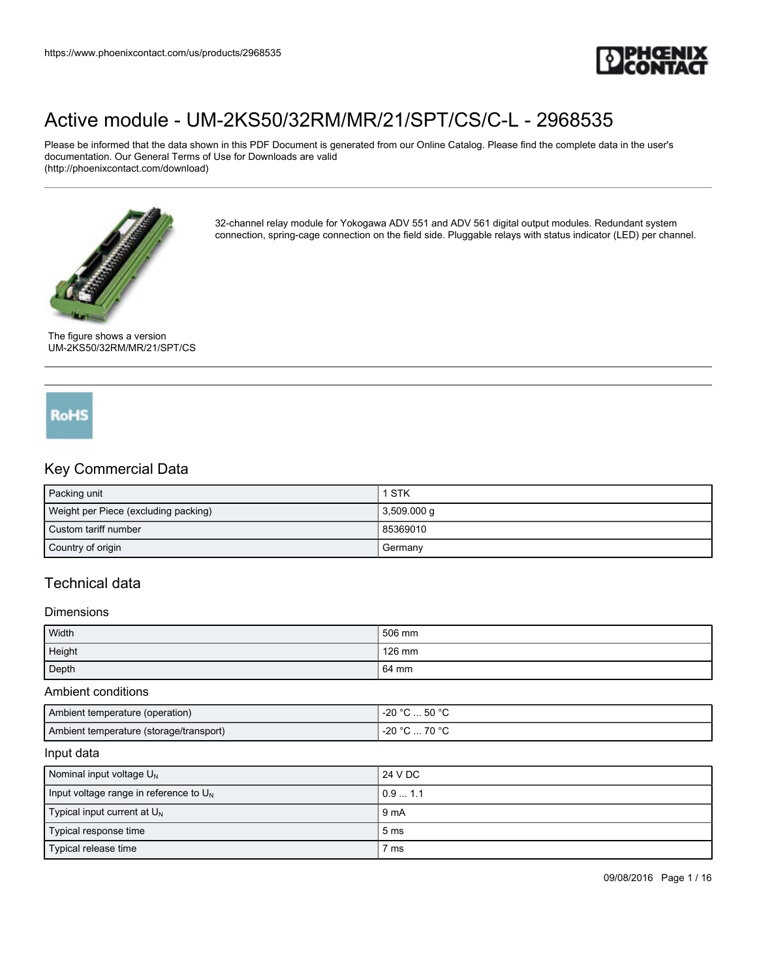

Please be informed that the data shown in this PDF Document is generated from our Online Catalog. Please find the complete data in the user's documentation. Our General Terms of Use for Downloads are valid (http://phoenixcontact.com/download)



32-channel relay module for Yokogawa ADV 551 and ADV 561 digital output modules. Redundant system connection, spring-cage connection on the field side. Pluggable relays with status indicator (LED) per channel.

The figure shows a version UM-2KS50/32RM/MR/21/SPT/CS

# **RoHS**

## Key Commercial Data

| Packing unit                         | 1 STK         |
|--------------------------------------|---------------|
| Weight per Piece (excluding packing) | $3,509.000$ g |
| Custom tariff number                 | 85369010      |
| Country of origin                    | Germany       |

## Technical data

#### Dimensions

| Width  | 506 mm |
|--------|--------|
| Height | 126 mm |
| Depth  | 64 mm  |

#### Ambient conditions

| Ambient temperature (operation)         | _⊙ 50 °C. ت<br>ാ∩ ∘∩<br>-20                   |
|-----------------------------------------|-----------------------------------------------|
| Ambient temperature (storage/transport) | ص∘ ∩ <del>د</del><br>ാ∩ ∘െ<br>-20<br>ιu<br>◡… |

#### Input data

| Nominal input voltage $U_N$                 | 24 V DC         |
|---------------------------------------------|-----------------|
| Input voltage range in reference to $U_{N}$ | 0.91.1          |
| Typical input current at $U_{N}$            | 9 <sub>mA</sub> |
| Typical response time                       | 5 <sub>ms</sub> |
| Typical release time                        | 7 ms            |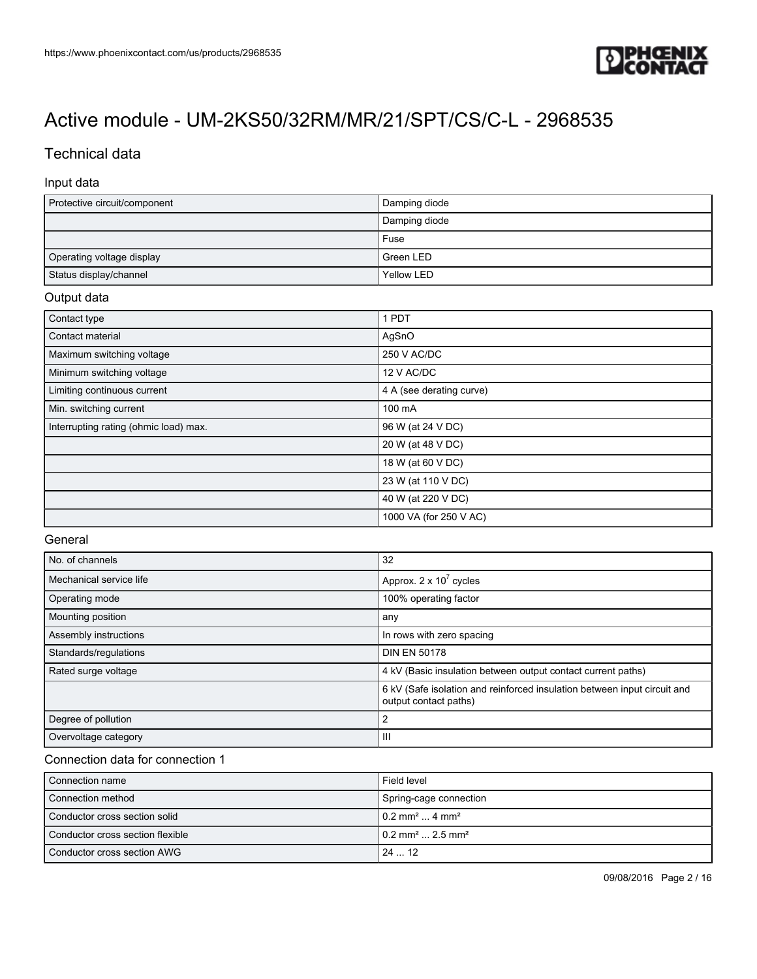

## Technical data

### Input data

| Protective circuit/component | Damping diode |
|------------------------------|---------------|
|                              | Damping diode |
|                              | Fuse          |
| Operating voltage display    | Green LED     |
| Status display/channel       | Yellow LED    |

#### Output data

| Contact type                          | 1 PDT                    |
|---------------------------------------|--------------------------|
| Contact material                      | AgSnO                    |
| Maximum switching voltage             | 250 V AC/DC              |
| Minimum switching voltage             | 12 V AC/DC               |
| Limiting continuous current           | 4 A (see derating curve) |
| Min. switching current                | 100 mA                   |
| Interrupting rating (ohmic load) max. | 96 W (at 24 V DC)        |
|                                       | 20 W (at 48 V DC)        |
|                                       | 18 W (at 60 V DC)        |
|                                       | 23 W (at 110 V DC)       |
|                                       | 40 W (at 220 V DC)       |
|                                       | 1000 VA (for 250 V AC)   |

#### General

| No. of channels         | 32                                                                                                |  |
|-------------------------|---------------------------------------------------------------------------------------------------|--|
| Mechanical service life | Approx. $2 \times 10^7$ cycles                                                                    |  |
| Operating mode          | 100% operating factor                                                                             |  |
| Mounting position       | any                                                                                               |  |
| Assembly instructions   | In rows with zero spacing                                                                         |  |
| Standards/regulations   | <b>DIN EN 50178</b>                                                                               |  |
| Rated surge voltage     | 4 kV (Basic insulation between output contact current paths)                                      |  |
|                         | 6 kV (Safe isolation and reinforced insulation between input circuit and<br>output contact paths) |  |
| Degree of pollution     | 2                                                                                                 |  |
| Overvoltage category    | Ш                                                                                                 |  |

#### Connection data for connection 1

| Connection name                  | Field level                                |
|----------------------------------|--------------------------------------------|
| Connection method                | Spring-cage connection                     |
| Conductor cross section solid    | $10.2$ mm <sup>2</sup> 4 mm <sup>2</sup>   |
| Conductor cross section flexible | $10.2$ mm <sup>2</sup> 2.5 mm <sup>2</sup> |
| Conductor cross section AWG      | 2412                                       |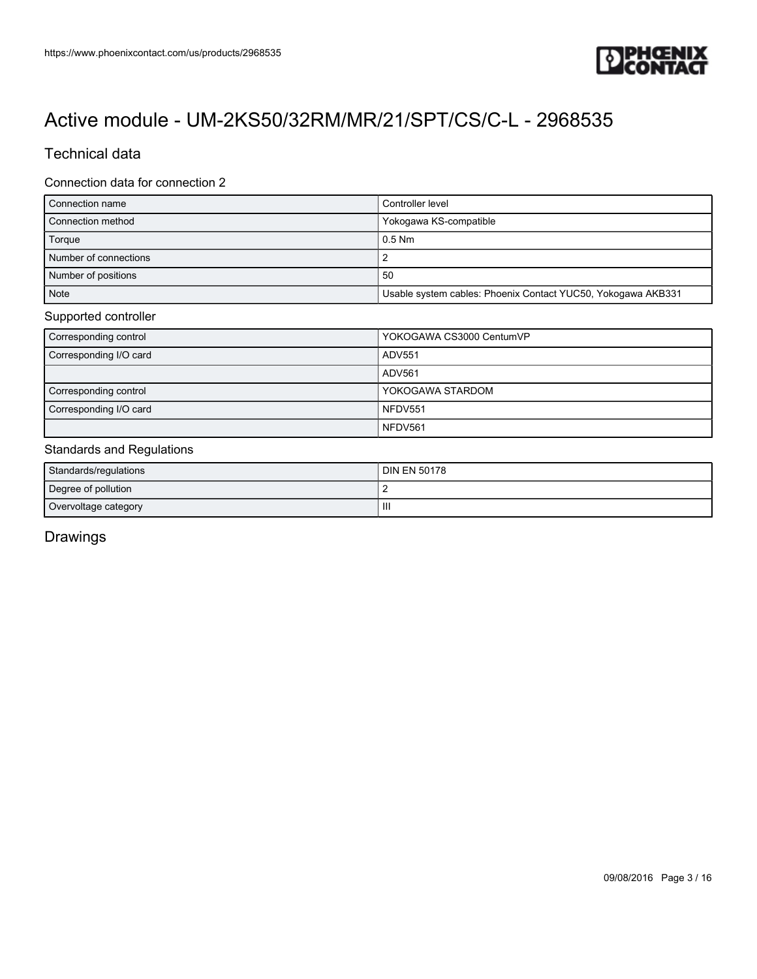

## Technical data

#### Connection data for connection 2

| Connection name       | Controller level                                             |  |
|-----------------------|--------------------------------------------------------------|--|
| Connection method     | Yokogawa KS-compatible                                       |  |
| Torque                | $0.5$ Nm                                                     |  |
| Number of connections |                                                              |  |
| Number of positions   | 50                                                           |  |
| <b>Note</b>           | Usable system cables: Phoenix Contact YUC50, Yokogawa AKB331 |  |

#### Supported controller

| Corresponding control  | YOKOGAWA CS3000 CentumVP |
|------------------------|--------------------------|
| Corresponding I/O card | ADV551                   |
|                        | ADV561                   |
| Corresponding control  | YOKOGAWA STARDOM         |
| Corresponding I/O card | NFDV551                  |
|                        | NFDV561                  |

## Standards and Regulations

| Standards/regulations | <b>DIN EN 50178</b> |
|-----------------------|---------------------|
| Degree of pollution   |                     |
| Overvoltage category  | Ш                   |

Drawings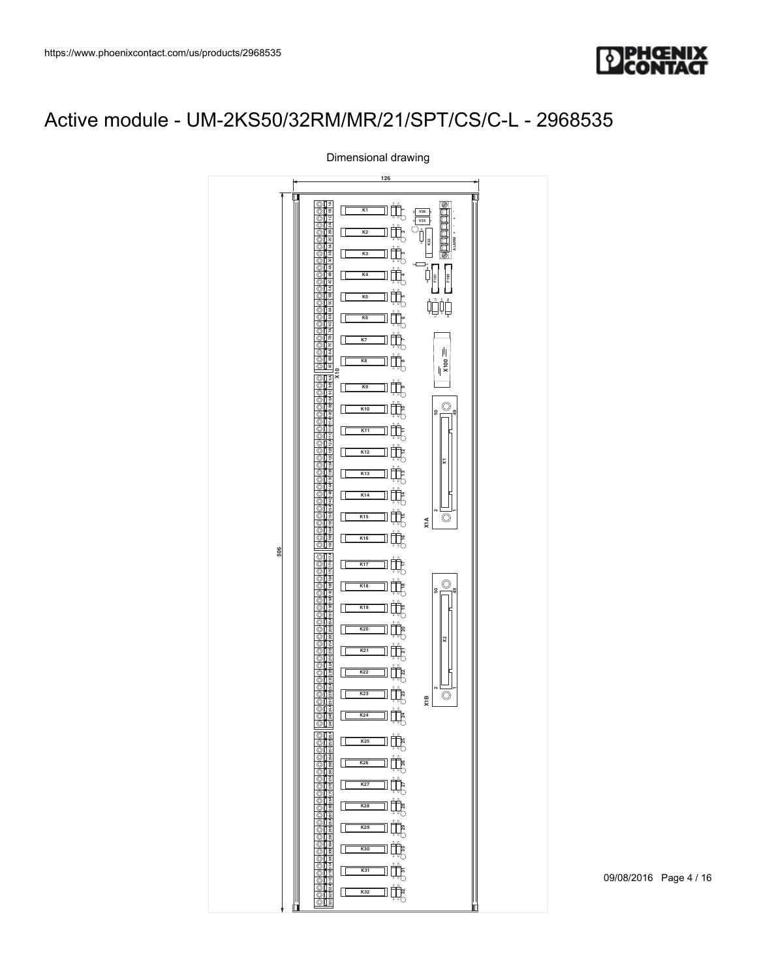



Dimensional drawing

09/08/2016 Page 4 / 16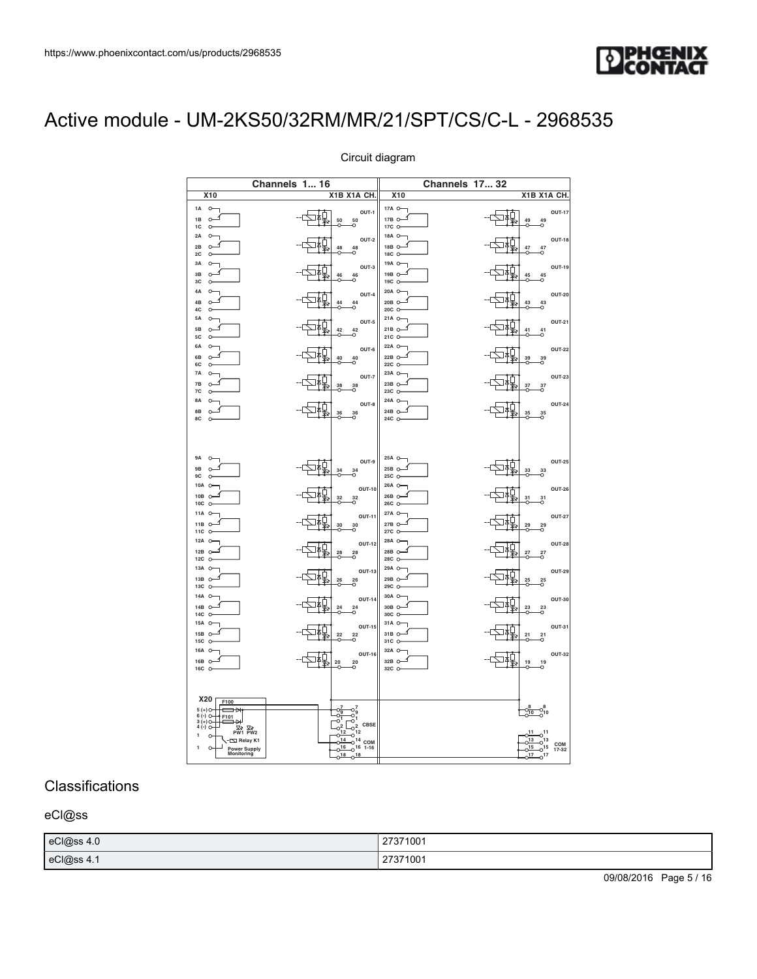

| l/us/products/2968535<br>UM-2KS50/32RM/MR/21/SPT/CS/C-L - 2968535                                                                                                                                                                                                                                                                                                                                                                                                                                                                                                                                                                                                                                                                                                                                                                                                                                                                                                                                                                                                                                                                                                                                                                                                                                                                                                                                                                                                                                                                                                                                                                                                                                                                | <b>DENGENIX</b><br>CONTACT                                                                                                                                                                                                                                                                                                                                                                                                                                                                                                                                                                                                                                                                                                                                                                                                                                                                                                                                                                                                                                                                                                                                                                                                                                                                                                                                                                                                                                                                                                                          |  |  |
|----------------------------------------------------------------------------------------------------------------------------------------------------------------------------------------------------------------------------------------------------------------------------------------------------------------------------------------------------------------------------------------------------------------------------------------------------------------------------------------------------------------------------------------------------------------------------------------------------------------------------------------------------------------------------------------------------------------------------------------------------------------------------------------------------------------------------------------------------------------------------------------------------------------------------------------------------------------------------------------------------------------------------------------------------------------------------------------------------------------------------------------------------------------------------------------------------------------------------------------------------------------------------------------------------------------------------------------------------------------------------------------------------------------------------------------------------------------------------------------------------------------------------------------------------------------------------------------------------------------------------------------------------------------------------------------------------------------------------------|-----------------------------------------------------------------------------------------------------------------------------------------------------------------------------------------------------------------------------------------------------------------------------------------------------------------------------------------------------------------------------------------------------------------------------------------------------------------------------------------------------------------------------------------------------------------------------------------------------------------------------------------------------------------------------------------------------------------------------------------------------------------------------------------------------------------------------------------------------------------------------------------------------------------------------------------------------------------------------------------------------------------------------------------------------------------------------------------------------------------------------------------------------------------------------------------------------------------------------------------------------------------------------------------------------------------------------------------------------------------------------------------------------------------------------------------------------------------------------------------------------------------------------------------------------|--|--|
| Circuit diagram<br><b>Channels 1 16</b><br>X1B X1A CH. X10<br>X10<br>17A $\circ$<br>$1A$ 0<br>$\left  \begin{array}{ccc} \text{1.5} & \text{1.5} & \text{1.5} & \text{1.5} & \text{1.5} & \text{1.5} & \text{1.5} & \text{1.5} & \text{1.5} & \text{1.5} & \text{1.5} & \text{1.5} & \text{1.5} & \text{1.5} & \text{1.5} & \text{1.5} & \text{1.5} & \text{1.5} & \text{1.5} & \text{1.5} & \text{1.5} & \text{1.5} & \text{1.5} & \text{1.5} & \text{1.5} & \text{1.5} & \text$<br>$\frac{1B}{1C}$<br>$17B \nO$<br>$2A$ $0$<br>18A $\sim$<br>$\frac{1}{2}$<br>$OUT-2$<br>$rac{2B}{2C}$<br>$18B \n0 \n4 \n18C$<br>$\begin{array}{c}\n3A \\ 3B \\ 3C\n\end{array}$<br>19A $\circ$<br>$OUT-3$<br>$\frac{1}{2}$ $\frac{1}{2}$ $\frac{1}{2}$ $\frac{46}{2}$ $\frac{46}{2}$ $\frac{46}{2}$<br>$\begin{array}{c}\n19B & \circ \overbrace{\phantom{0}}^{1} \\ 19C & \circ \overbrace{\phantom{0}}^{1} \\ \end{array}$<br>20A O<br>OUT-4<br>$-\frac{1}{2}$ $\frac{1}{2}$ $\frac{44}{2}$ $\frac{44}{2}$ $\frac{44}{2}$<br>21A O<br>$\frac{1}{2}$<br>$OUT-5$<br>$\begin{array}{ c c }\n\hline\n21B & \circ & \circ \\ 21C & \circ & \end{array}$<br>22A O<br>$\frac{1}{2}$<br>$OUT-6$<br>$\begin{array}{ c c }\n\hline\n22B & \circ & \circ \\ 22C & \circ & \end{array}$<br>$23A \n\begin{array}{c}\n23A \\ 23B\n\end{array}$<br>唇<br>OUT-7<br>$\frac{38}{0}$ $\frac{38}{0}$<br>23C O                                                                                                                                                                                                                                                                                                                                                    | <b>Channels 17 32</b><br>X1B X1A CH.<br><b>OUT-17</b><br>$ \sqrt{\frac{1}{2}}$ $\frac{1}{49}$ $\frac{49}{0}$ $\frac{49}{0}$<br><b>OUT-18</b><br><b>OUT-19</b><br>$\begin{array}{c c c c c c} \hline \textbf{1} & \textbf{2} & \textbf{3} & \textbf{4} & \textbf{5} & \textbf{6} \\ \hline \textbf{2} & \textbf{3} & \textbf{4} & \textbf{5} & \textbf{4} & \textbf{5} & \textbf{6} \\ \hline \textbf{3} & \textbf{4} & \textbf{5} & \textbf{5} & \textbf{5} & \textbf{6} & \textbf{6} \\ \hline \textbf{4} & \textbf{5} & \textbf{5} & \textbf{5} & \textbf{5} & \textbf{6} & \textbf{6} & \text$<br><b>OUT-20</b><br>$\begin{array}{c c c c c} \hline \text{1} & \text{1} & \text{2} & \text{3} \\ \hline \text{2} & \text{3} & \text{4} & \text{4} & \text{5} \\ \hline \text{3} & \text{4} & \text{5} & \text{5} \\ \hline \end{array}$<br>$\frac{1}{2}$<br><b>OUT-21</b><br><b>OUT-22</b><br>$\frac{1}{2}$ $\frac{1}{2}$ $\frac{1}{2}$ $\frac{1}{2}$ $\frac{1}{2}$ $\frac{1}{2}$ $\frac{1}{2}$ $\frac{1}{2}$ $\frac{1}{2}$ $\frac{1}{2}$ $\frac{1}{2}$ $\frac{1}{2}$ $\frac{1}{2}$ $\frac{1}{2}$ $\frac{1}{2}$ $\frac{1}{2}$ $\frac{1}{2}$ $\frac{1}{2}$ $\frac{1}{2}$ $\frac{1}{2}$ $\frac{1}{2}$ $\frac{1}{2}$<br><b>OUT-23</b><br>$\frac{1}{2}$ $\frac{1}{2}$ $\frac{1}{27}$ $\frac{37}{27}$ $\frac{37}{27}$ $\frac{37}{27}$ $\frac{37}{27}$ $\frac{37}{27}$ $\frac{37}{27}$ $\frac{37}{27}$ $\frac{37}{27}$ $\frac{37}{27}$ $\frac{37}{27}$ $\frac{37}{27}$ $\frac{37}{27}$ $\frac{37}{27}$ $\frac{37}{27}$ $\frac{37}{27}$ $\frac{37}{27}$ |  |  |
| $24A$ $\circ$<br>$\begin{array}{c c c c c} \hline \text{1} & & & \text{OUT-8} \\ \hline \text{1} & & 36 & 36 \\ \hline \text{2} & & & 0 \\ \hline \text{3} & & & 0 \end{array}$<br>$24B \n\n24C \n\n24C$<br>9A $O_{\bigcup}$<br>25A O<br>$OUT-9$<br>$\frac{1}{2}$<br>$\begin{matrix}\n\mathsf{9B} & \mathsf{O} \\ \mathsf{9C} & \mathsf{O} \\ \mathsf{9C} & \mathsf{O}\n\end{matrix}$<br>$25B \nO$<br>$\begin{array}{c}\n10A & \circ \\ 10B & \circ\n\end{array}$ $\begin{array}{c}\n10B & \circ \\ 10C & \circ\n\end{array}$<br>26A O<br>OUT-10<br>$\frac{1}{2}$ $\frac{1}{2}$ $\frac{32}{2}$ $\frac{32}{2}$<br>$26B$ $\sim$<br>26C O<br>27A O<br>$\begin{array}{c}\n11A & \circ \\ 11B & \circ \\ 11C & \circ\n\end{array}$<br>OUT-11<br>色樹<br>$27B$ $\sim$<br>$\frac{30}{2}$ 30<br>27C O<br>$\begin{array}{c}\n12A & \circ \\ 12B & \circ\n\end{array}$ $\begin{array}{c}\n12B & \circ\n\end{array}$<br>28A O<br>$\sqrt{240}$ $^{28}$ $^{28}$<br>$OUT-12$<br>28B $\sim$<br>28C O<br>29A O<br>13A $\circ$<br>$OUT-13$<br>$\frac{1}{26}$<br>$29B \n0 \n29C$<br>$\begin{array}{c}\n13B \\ 13C\n\end{array}$<br>$14A$ $\circ$<br>$30A \n\begin{array}{c}\n30A \\ \hline\n30B \n\end{array}\n\qquad\n\begin{array}{c}\n\hline\n\end{array}$<br>$\sqrt{\frac{1}{24}}$ $^{24}$ $^{24}$<br>OUT-14<br>$\frac{14B}{14C}$<br>$\begin{array}{c}\n15A \\ 15B \\ 15C\n\end{array}$<br>31A O<br>$OUT-15$<br>$\frac{1}{2}$ $\frac{1}{2}$ $\frac{1}{2}$ $\frac{1}{2}$ $\frac{1}{2}$ $\frac{1}{2}$ $\frac{1}{2}$ $\frac{1}{2}$ $\frac{1}{2}$ $\frac{1}{2}$ $\frac{1}{2}$ $\frac{1}{2}$ $\frac{1}{2}$ $\frac{1}{2}$ $\frac{1}{2}$ $\frac{1}{2}$ $\frac{1}{2}$ $\frac{1}{2}$ $\frac{1}{2}$ $\frac{1}{2}$ $\frac{1}{2}$ $\frac{1}{2}$<br>$31B \nO$ | <b>OUT-24</b><br>$ \frac{1}{2}$ $\frac{1}{2}$ $\frac{1}{2}$ $\frac{35}{2}$ $\frac{35}{2}$ $\frac{35}{2}$<br>$ \frac{1}{2}$ $\frac{1}{2}$ $\frac{1}{2}$ $\frac{33}{2}$ $\frac{33}{2}$ $\frac{33}{2}$<br><b>OUT-25</b><br><b>OUT-26</b><br>$-\frac{1}{2}$<br><b>OUT-27</b><br>$\frac{1}{2}$<br>$-\frac{1}{2}$<br><b>OUT-28</b><br><b>OUT-29</b><br>OUT-30<br>$\frac{1}{2}$ $\frac{1}{2}$ $\frac{1}{2}$ $\frac{1}{2}$ $\frac{1}{2}$ $\frac{1}{2}$ $\frac{1}{2}$ $\frac{1}{2}$ $\frac{1}{2}$ $\frac{1}{2}$ $\frac{1}{2}$ $\frac{1}{2}$ $\frac{1}{2}$ $\frac{1}{2}$ $\frac{1}{2}$ $\frac{1}{2}$ $\frac{1}{2}$ $\frac{1}{2}$ $\frac{1}{2}$ $\frac{1}{2}$ $\frac{1}{2}$ $\frac{1}{2}$<br><b>OUT-31</b><br>$-\sqrt{\frac{1}{2}}$ $\frac{1}{2!}$ $\frac{2!}{2!}$                                                                                                                                                                                                                                                                                                                                                                                                                                                                                                                                                                                                                                                                                                                                                                                             |  |  |
| 31C O-<br>$\begin{array}{c}\n16A & \circ \\ 16B & \circ\n\end{array}$ $\begin{array}{c}\n16B & \circ\n\end{array}$<br>$OUT-16$<br>$-\sqrt{\frac{1}{4}}$ $\frac{1}{20}$ $\frac{20}{20}$ $\frac{20}{20}$<br>$\begin{array}{c c} \textbf{X20} & \textbf{F100} \\ \textbf{5 (+)} & \textbf{F101} \\ \textbf{6 (+)} & \textbf{F101} \\ \textbf{7 (+)} & \textbf{F11} \\ \textbf{8 (+)} & \textbf{F101} \\ \textbf{9 (+)} & \textbf{F111} \\ \textbf{10 (-)} & \textbf{F1011} \\ \textbf{11 ()} & \textbf{F1011} \\ \textbf{12 ()} & \textbf{F1011} \\ \textbf{13 ()} & \textbf{F1011} \\ \textbf{14 ()} & \textbf{F1011} \\ \textbf$<br>⊐<br>27371001<br>27371001                                                                                                                                                                                                                                                                                                                                                                                                                                                                                                                                                                                                                                                                                                                                                                                                                                                                                                                                                                                                                                                                     | <b>OUT-32</b><br>$\begin{array}{c c c c c} \hline \text{13} & \text{19} & \text{19} \\ \hline \text{25} & \text{19} & \text{19} \\ \hline \text{36} & \text{19} & \text{19} \\ \hline \end{array}$<br>$-\frac{8}{0^{10}}$ $-\frac{8}{0^{10}}$<br>$\begin{array}{ c c c c }\n\hline\n\circ^{11} & \circ^{11} \\ \hline\n\circ^{13} & \circ^{13} & \text{COM} \\ \hline\n\circ^{15} & \circ^{15} & \text{17-32} \\ \hline\n\circ^{17} & \circ^{17}\n\end{array}$<br>09/08/2016 Page 5 / 16                                                                                                                                                                                                                                                                                                                                                                                                                                                                                                                                                                                                                                                                                                                                                                                                                                                                                                                                                                                                                                                            |  |  |
|                                                                                                                                                                                                                                                                                                                                                                                                                                                                                                                                                                                                                                                                                                                                                                                                                                                                                                                                                                                                                                                                                                                                                                                                                                                                                                                                                                                                                                                                                                                                                                                                                                                                                                                                  |                                                                                                                                                                                                                                                                                                                                                                                                                                                                                                                                                                                                                                                                                                                                                                                                                                                                                                                                                                                                                                                                                                                                                                                                                                                                                                                                                                                                                                                                                                                                                     |  |  |

#### Circuit diagram

### **Classifications**

### eCl@ss

| eCl@ss 4.0 | 27371001          |
|------------|-------------------|
| eCl@ss 4.  | 27371001<br>اں اے |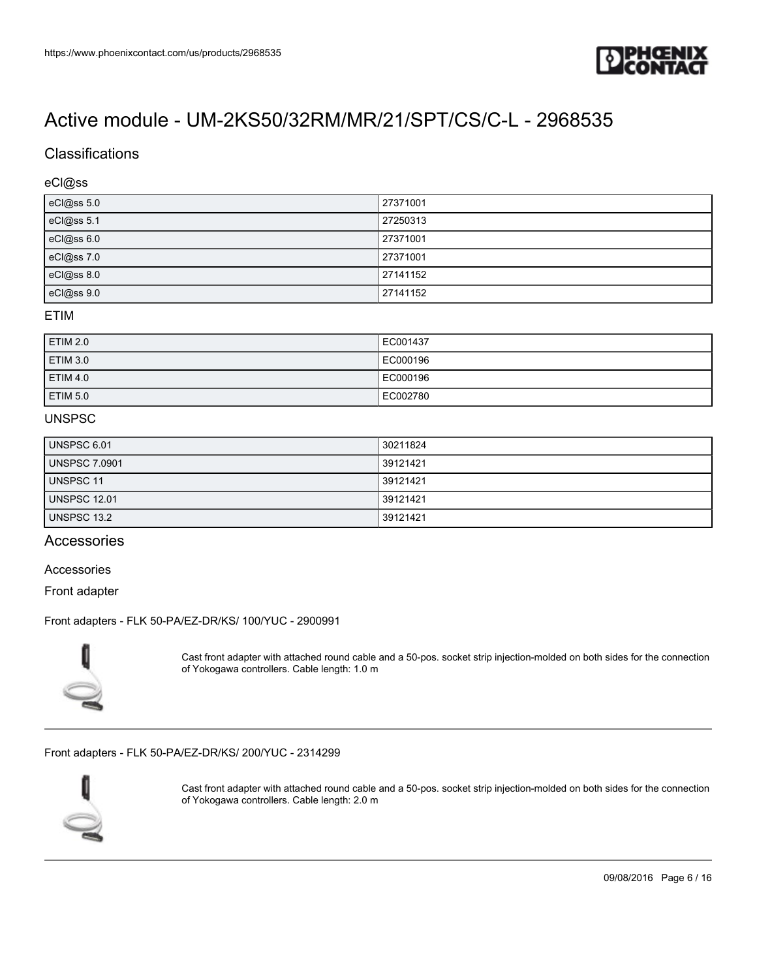

## Classifications

#### eCl@ss

| eCl@ss 5.0 | 27371001 |
|------------|----------|
| eCl@ss 5.1 | 27250313 |
| eCl@ss 6.0 | 27371001 |
| eCl@ss 7.0 | 27371001 |
| eCl@ss 8.0 | 27141152 |
| eCl@ss 9.0 | 27141152 |

### ETIM

| ETIM 2.0 | EC001437 |
|----------|----------|
| ETIM 3.0 | EC000196 |
| ETIM 4.0 | EC000196 |
| ETIM 5.0 | EC002780 |

#### UNSPSC

| <b>UNSPSC 6.01</b>   | 30211824 |
|----------------------|----------|
| <b>UNSPSC 7.0901</b> | 39121421 |
| UNSPSC 11            | 39121421 |
| <b>UNSPSC 12.01</b>  | 39121421 |
| <b>UNSPSC 13.2</b>   | 39121421 |

### Accessories

#### Accessories

Front adapter

#### [Front adapters - FLK 50-PA/EZ-DR/KS/ 100/YUC - 2900991](https://www.phoenixcontact.com/us/products/2900991)



Cast front adapter with attached round cable and a 50-pos. socket strip injection-molded on both sides for the connection of Yokogawa controllers. Cable length: 1.0 m

#### [Front adapters - FLK 50-PA/EZ-DR/KS/ 200/YUC - 2314299](https://www.phoenixcontact.com/us/products/2314299)



Cast front adapter with attached round cable and a 50-pos. socket strip injection-molded on both sides for the connection of Yokogawa controllers. Cable length: 2.0 m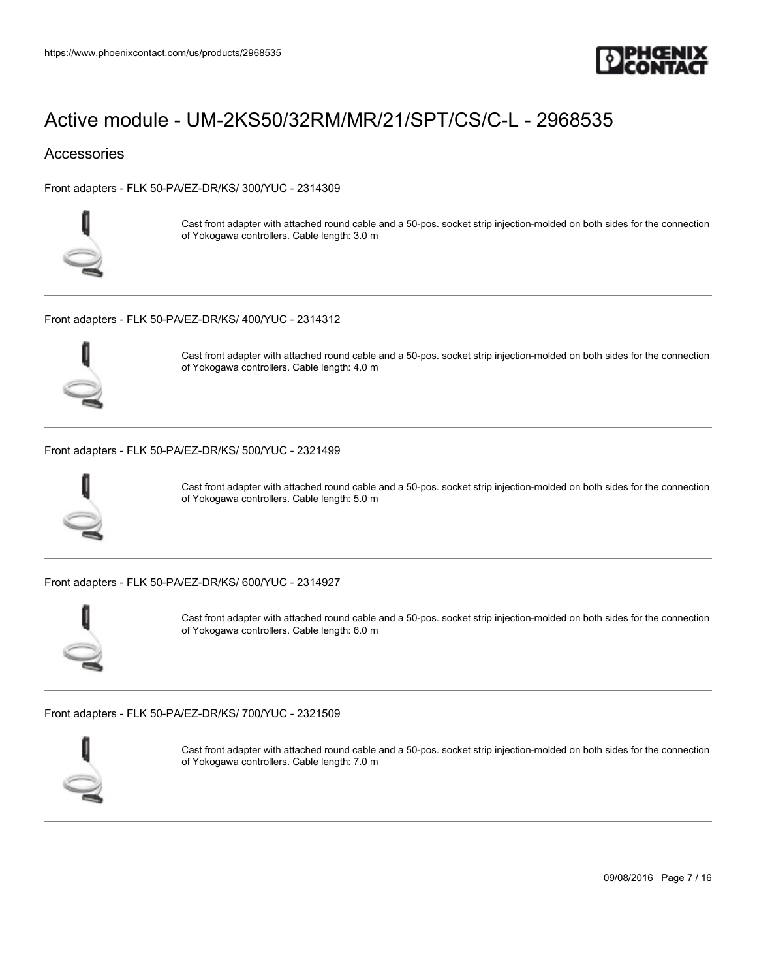

### **Accessories**

[Front adapters - FLK 50-PA/EZ-DR/KS/ 300/YUC - 2314309](https://www.phoenixcontact.com/us/products/2314309)



Cast front adapter with attached round cable and a 50-pos. socket strip injection-molded on both sides for the connection of Yokogawa controllers. Cable length: 3.0 m

[Front adapters - FLK 50-PA/EZ-DR/KS/ 400/YUC - 2314312](https://www.phoenixcontact.com/us/products/2314312)



Cast front adapter with attached round cable and a 50-pos. socket strip injection-molded on both sides for the connection of Yokogawa controllers. Cable length: 4.0 m

[Front adapters - FLK 50-PA/EZ-DR/KS/ 500/YUC - 2321499](https://www.phoenixcontact.com/us/products/2321499)



Cast front adapter with attached round cable and a 50-pos. socket strip injection-molded on both sides for the connection of Yokogawa controllers. Cable length: 5.0 m

[Front adapters - FLK 50-PA/EZ-DR/KS/ 600/YUC - 2314927](https://www.phoenixcontact.com/us/products/2314927)



Cast front adapter with attached round cable and a 50-pos. socket strip injection-molded on both sides for the connection of Yokogawa controllers. Cable length: 6.0 m

[Front adapters - FLK 50-PA/EZ-DR/KS/ 700/YUC - 2321509](https://www.phoenixcontact.com/us/products/2321509)



Cast front adapter with attached round cable and a 50-pos. socket strip injection-molded on both sides for the connection of Yokogawa controllers. Cable length: 7.0 m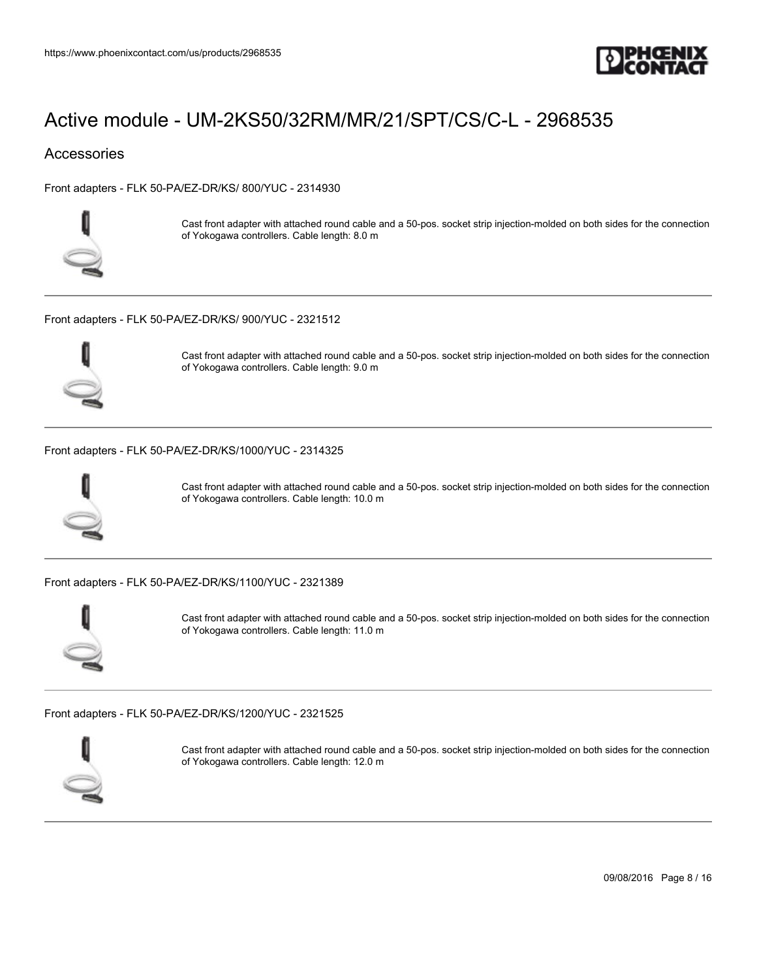

### **Accessories**

[Front adapters - FLK 50-PA/EZ-DR/KS/ 800/YUC - 2314930](https://www.phoenixcontact.com/us/products/2314930)



Cast front adapter with attached round cable and a 50-pos. socket strip injection-molded on both sides for the connection of Yokogawa controllers. Cable length: 8.0 m

[Front adapters - FLK 50-PA/EZ-DR/KS/ 900/YUC - 2321512](https://www.phoenixcontact.com/us/products/2321512)



Cast front adapter with attached round cable and a 50-pos. socket strip injection-molded on both sides for the connection of Yokogawa controllers. Cable length: 9.0 m

[Front adapters - FLK 50-PA/EZ-DR/KS/1000/YUC - 2314325](https://www.phoenixcontact.com/us/products/2314325)



Cast front adapter with attached round cable and a 50-pos. socket strip injection-molded on both sides for the connection of Yokogawa controllers. Cable length: 10.0 m

[Front adapters - FLK 50-PA/EZ-DR/KS/1100/YUC - 2321389](https://www.phoenixcontact.com/us/products/2321389)



Cast front adapter with attached round cable and a 50-pos. socket strip injection-molded on both sides for the connection of Yokogawa controllers. Cable length: 11.0 m

[Front adapters - FLK 50-PA/EZ-DR/KS/1200/YUC - 2321525](https://www.phoenixcontact.com/us/products/2321525)



Cast front adapter with attached round cable and a 50-pos. socket strip injection-molded on both sides for the connection of Yokogawa controllers. Cable length: 12.0 m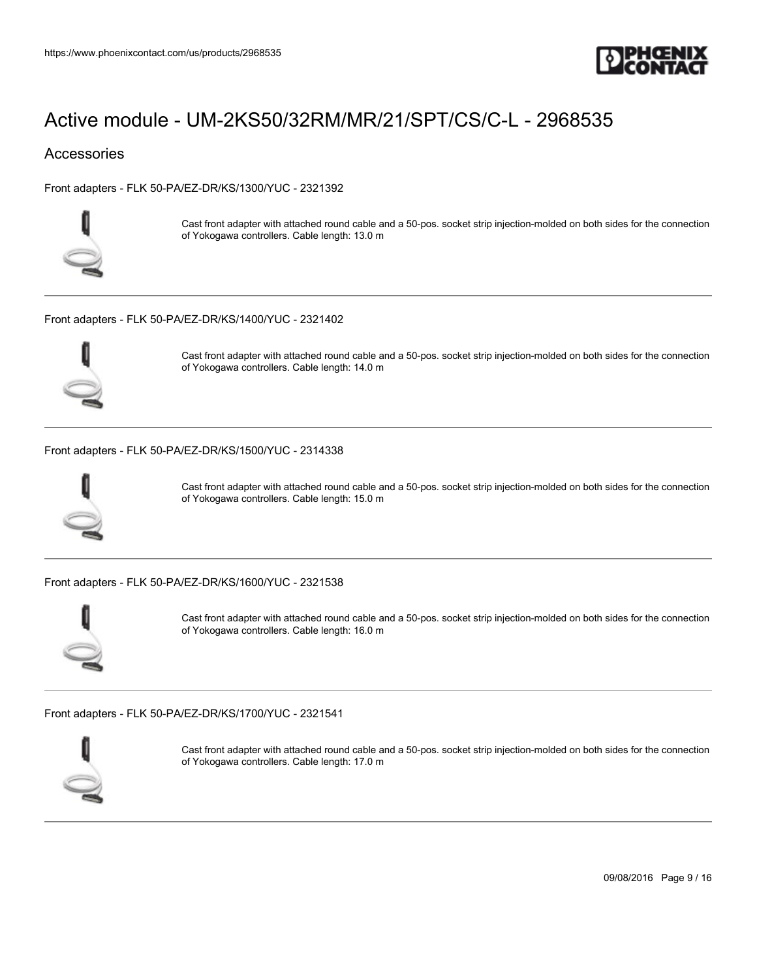

### **Accessories**

[Front adapters - FLK 50-PA/EZ-DR/KS/1300/YUC - 2321392](https://www.phoenixcontact.com/us/products/2321392)



Cast front adapter with attached round cable and a 50-pos. socket strip injection-molded on both sides for the connection of Yokogawa controllers. Cable length: 13.0 m

[Front adapters - FLK 50-PA/EZ-DR/KS/1400/YUC - 2321402](https://www.phoenixcontact.com/us/products/2321402)



Cast front adapter with attached round cable and a 50-pos. socket strip injection-molded on both sides for the connection of Yokogawa controllers. Cable length: 14.0 m

#### [Front adapters - FLK 50-PA/EZ-DR/KS/1500/YUC - 2314338](https://www.phoenixcontact.com/us/products/2314338)



Cast front adapter with attached round cable and a 50-pos. socket strip injection-molded on both sides for the connection of Yokogawa controllers. Cable length: 15.0 m

[Front adapters - FLK 50-PA/EZ-DR/KS/1600/YUC - 2321538](https://www.phoenixcontact.com/us/products/2321538)



Cast front adapter with attached round cable and a 50-pos. socket strip injection-molded on both sides for the connection of Yokogawa controllers. Cable length: 16.0 m

[Front adapters - FLK 50-PA/EZ-DR/KS/1700/YUC - 2321541](https://www.phoenixcontact.com/us/products/2321541)



Cast front adapter with attached round cable and a 50-pos. socket strip injection-molded on both sides for the connection of Yokogawa controllers. Cable length: 17.0 m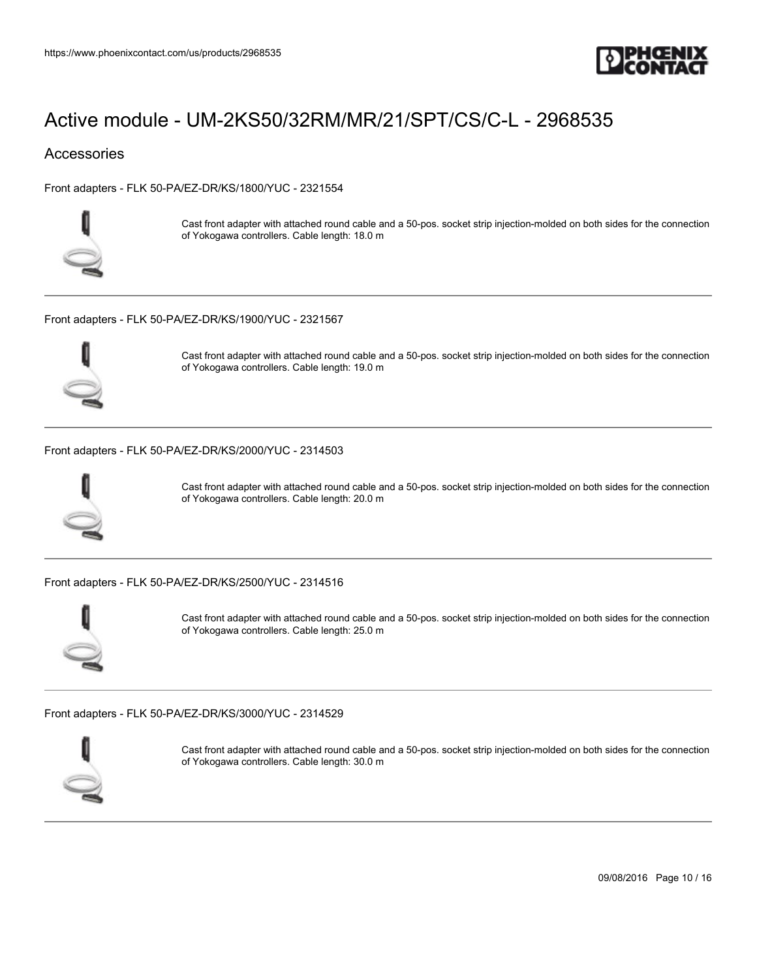

### **Accessories**

[Front adapters - FLK 50-PA/EZ-DR/KS/1800/YUC - 2321554](https://www.phoenixcontact.com/us/products/2321554)



Cast front adapter with attached round cable and a 50-pos. socket strip injection-molded on both sides for the connection of Yokogawa controllers. Cable length: 18.0 m

[Front adapters - FLK 50-PA/EZ-DR/KS/1900/YUC - 2321567](https://www.phoenixcontact.com/us/products/2321567)



Cast front adapter with attached round cable and a 50-pos. socket strip injection-molded on both sides for the connection of Yokogawa controllers. Cable length: 19.0 m

[Front adapters - FLK 50-PA/EZ-DR/KS/2000/YUC - 2314503](https://www.phoenixcontact.com/us/products/2314503)



Cast front adapter with attached round cable and a 50-pos. socket strip injection-molded on both sides for the connection of Yokogawa controllers. Cable length: 20.0 m

[Front adapters - FLK 50-PA/EZ-DR/KS/2500/YUC - 2314516](https://www.phoenixcontact.com/us/products/2314516)



Cast front adapter with attached round cable and a 50-pos. socket strip injection-molded on both sides for the connection of Yokogawa controllers. Cable length: 25.0 m

[Front adapters - FLK 50-PA/EZ-DR/KS/3000/YUC - 2314529](https://www.phoenixcontact.com/us/products/2314529)



Cast front adapter with attached round cable and a 50-pos. socket strip injection-molded on both sides for the connection of Yokogawa controllers. Cable length: 30.0 m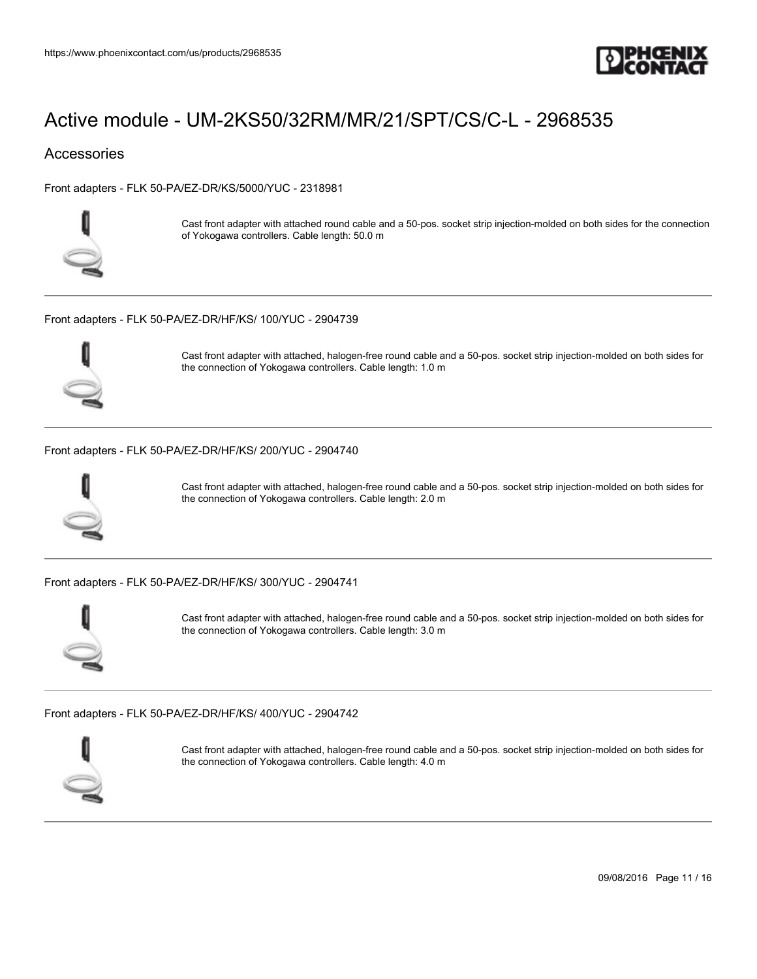

### **Accessories**

[Front adapters - FLK 50-PA/EZ-DR/KS/5000/YUC - 2318981](https://www.phoenixcontact.com/us/products/2318981)



Cast front adapter with attached round cable and a 50-pos. socket strip injection-molded on both sides for the connection of Yokogawa controllers. Cable length: 50.0 m

[Front adapters - FLK 50-PA/EZ-DR/HF/KS/ 100/YUC - 2904739](https://www.phoenixcontact.com/us/products/2904739)



Cast front adapter with attached, halogen-free round cable and a 50-pos. socket strip injection-molded on both sides for the connection of Yokogawa controllers. Cable length: 1.0 m

[Front adapters - FLK 50-PA/EZ-DR/HF/KS/ 200/YUC - 2904740](https://www.phoenixcontact.com/us/products/2904740)



Cast front adapter with attached, halogen-free round cable and a 50-pos. socket strip injection-molded on both sides for the connection of Yokogawa controllers. Cable length: 2.0 m

[Front adapters - FLK 50-PA/EZ-DR/HF/KS/ 300/YUC - 2904741](https://www.phoenixcontact.com/us/products/2904741)



Cast front adapter with attached, halogen-free round cable and a 50-pos. socket strip injection-molded on both sides for the connection of Yokogawa controllers. Cable length: 3.0 m

[Front adapters - FLK 50-PA/EZ-DR/HF/KS/ 400/YUC - 2904742](https://www.phoenixcontact.com/us/products/2904742)



Cast front adapter with attached, halogen-free round cable and a 50-pos. socket strip injection-molded on both sides for the connection of Yokogawa controllers. Cable length: 4.0 m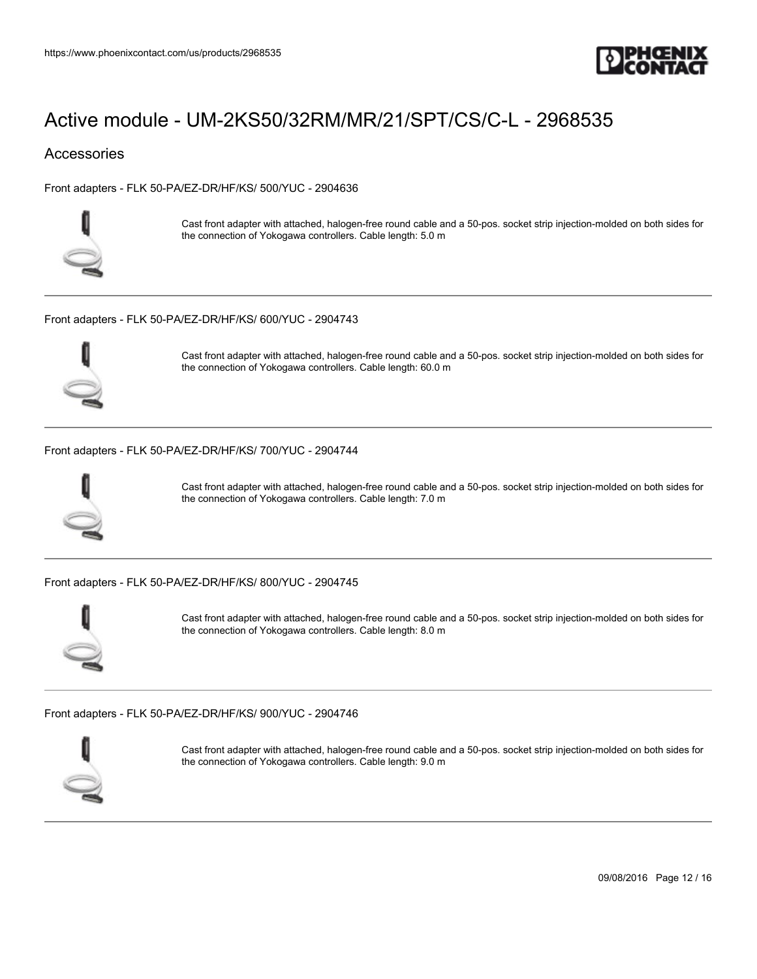

### **Accessories**

[Front adapters - FLK 50-PA/EZ-DR/HF/KS/ 500/YUC - 2904636](https://www.phoenixcontact.com/us/products/2904636)



Cast front adapter with attached, halogen-free round cable and a 50-pos. socket strip injection-molded on both sides for the connection of Yokogawa controllers. Cable length: 5.0 m

[Front adapters - FLK 50-PA/EZ-DR/HF/KS/ 600/YUC - 2904743](https://www.phoenixcontact.com/us/products/2904743)



Cast front adapter with attached, halogen-free round cable and a 50-pos. socket strip injection-molded on both sides for the connection of Yokogawa controllers. Cable length: 60.0 m

[Front adapters - FLK 50-PA/EZ-DR/HF/KS/ 700/YUC - 2904744](https://www.phoenixcontact.com/us/products/2904744)



Cast front adapter with attached, halogen-free round cable and a 50-pos. socket strip injection-molded on both sides for the connection of Yokogawa controllers. Cable length: 7.0 m

[Front adapters - FLK 50-PA/EZ-DR/HF/KS/ 800/YUC - 2904745](https://www.phoenixcontact.com/us/products/2904745)



Cast front adapter with attached, halogen-free round cable and a 50-pos. socket strip injection-molded on both sides for the connection of Yokogawa controllers. Cable length: 8.0 m

[Front adapters - FLK 50-PA/EZ-DR/HF/KS/ 900/YUC - 2904746](https://www.phoenixcontact.com/us/products/2904746)



Cast front adapter with attached, halogen-free round cable and a 50-pos. socket strip injection-molded on both sides for the connection of Yokogawa controllers. Cable length: 9.0 m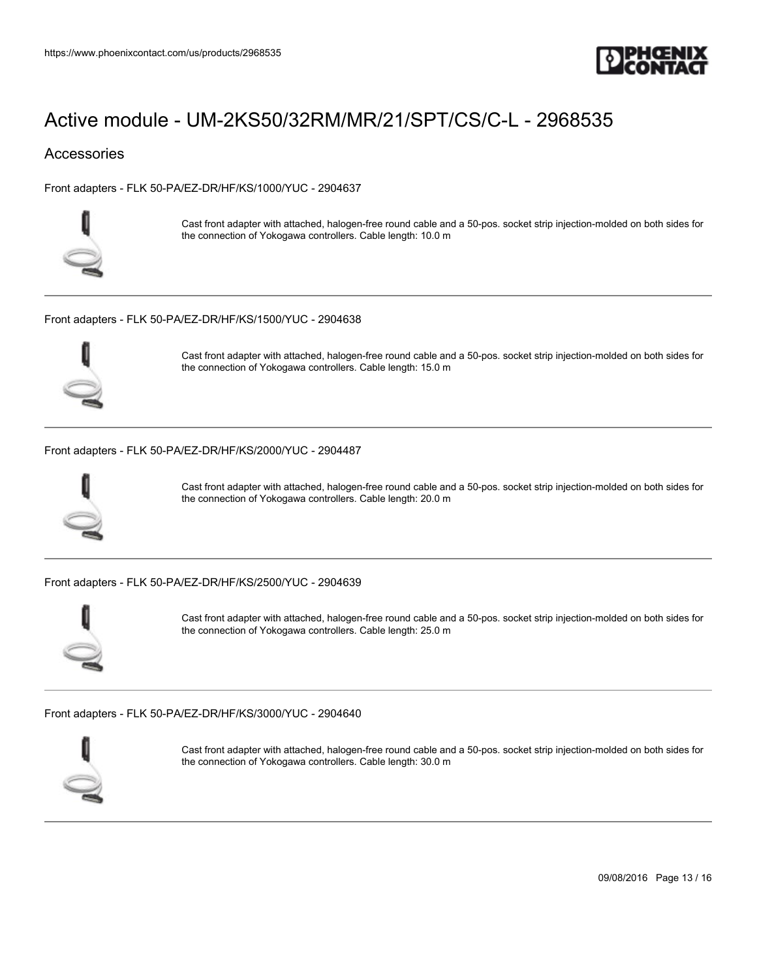

### **Accessories**

[Front adapters - FLK 50-PA/EZ-DR/HF/KS/1000/YUC - 2904637](https://www.phoenixcontact.com/us/products/2904637)



Cast front adapter with attached, halogen-free round cable and a 50-pos. socket strip injection-molded on both sides for the connection of Yokogawa controllers. Cable length: 10.0 m

[Front adapters - FLK 50-PA/EZ-DR/HF/KS/1500/YUC - 2904638](https://www.phoenixcontact.com/us/products/2904638)



Cast front adapter with attached, halogen-free round cable and a 50-pos. socket strip injection-molded on both sides for the connection of Yokogawa controllers. Cable length: 15.0 m

[Front adapters - FLK 50-PA/EZ-DR/HF/KS/2000/YUC - 2904487](https://www.phoenixcontact.com/us/products/2904487)



Cast front adapter with attached, halogen-free round cable and a 50-pos. socket strip injection-molded on both sides for the connection of Yokogawa controllers. Cable length: 20.0 m

[Front adapters - FLK 50-PA/EZ-DR/HF/KS/2500/YUC - 2904639](https://www.phoenixcontact.com/us/products/2904639)



Cast front adapter with attached, halogen-free round cable and a 50-pos. socket strip injection-molded on both sides for the connection of Yokogawa controllers. Cable length: 25.0 m

[Front adapters - FLK 50-PA/EZ-DR/HF/KS/3000/YUC - 2904640](https://www.phoenixcontact.com/us/products/2904640)



Cast front adapter with attached, halogen-free round cable and a 50-pos. socket strip injection-molded on both sides for the connection of Yokogawa controllers. Cable length: 30.0 m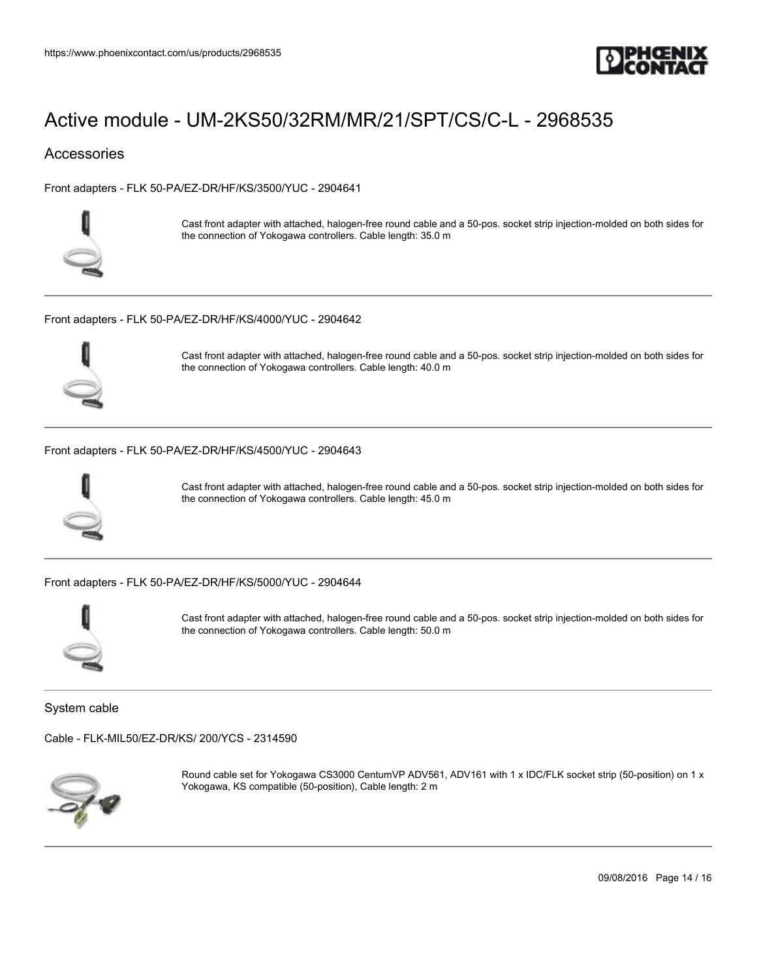

### **Accessories**

[Front adapters - FLK 50-PA/EZ-DR/HF/KS/3500/YUC - 2904641](https://www.phoenixcontact.com/us/products/2904641)



Cast front adapter with attached, halogen-free round cable and a 50-pos. socket strip injection-molded on both sides for the connection of Yokogawa controllers. Cable length: 35.0 m

[Front adapters - FLK 50-PA/EZ-DR/HF/KS/4000/YUC - 2904642](https://www.phoenixcontact.com/us/products/2904642)



Cast front adapter with attached, halogen-free round cable and a 50-pos. socket strip injection-molded on both sides for the connection of Yokogawa controllers. Cable length: 40.0 m

#### [Front adapters - FLK 50-PA/EZ-DR/HF/KS/4500/YUC - 2904643](https://www.phoenixcontact.com/us/products/2904643)



Cast front adapter with attached, halogen-free round cable and a 50-pos. socket strip injection-molded on both sides for the connection of Yokogawa controllers. Cable length: 45.0 m

[Front adapters - FLK 50-PA/EZ-DR/HF/KS/5000/YUC - 2904644](https://www.phoenixcontact.com/us/products/2904644)



Cast front adapter with attached, halogen-free round cable and a 50-pos. socket strip injection-molded on both sides for the connection of Yokogawa controllers. Cable length: 50.0 m

System cable

[Cable - FLK-MIL50/EZ-DR/KS/ 200/YCS - 2314590](https://www.phoenixcontact.com/us/products/2314590)



Round cable set for Yokogawa CS3000 CentumVP ADV561, ADV161 with 1 x IDC/FLK socket strip (50-position) on 1 x Yokogawa, KS compatible (50-position), Cable length: 2 m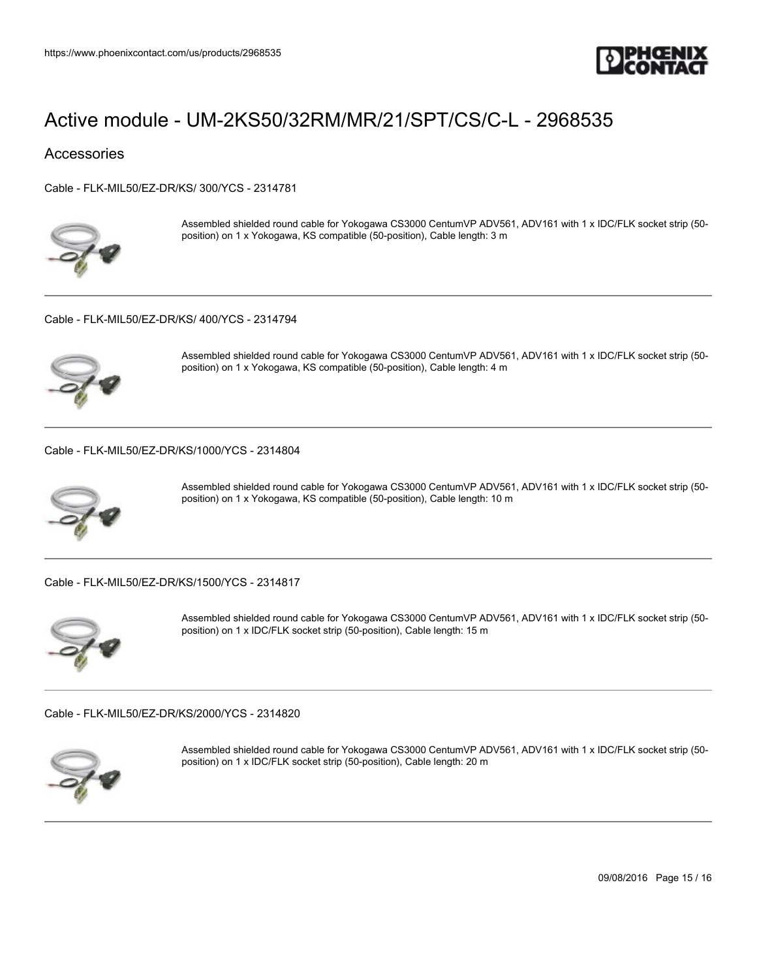

### **Accessories**

[Cable - FLK-MIL50/EZ-DR/KS/ 300/YCS - 2314781](https://www.phoenixcontact.com/us/products/2314781)



Assembled shielded round cable for Yokogawa CS3000 CentumVP ADV561, ADV161 with 1 x IDC/FLK socket strip (50 position) on 1 x Yokogawa, KS compatible (50-position), Cable length: 3 m

[Cable - FLK-MIL50/EZ-DR/KS/ 400/YCS - 2314794](https://www.phoenixcontact.com/us/products/2314794)



Assembled shielded round cable for Yokogawa CS3000 CentumVP ADV561, ADV161 with 1 x IDC/FLK socket strip (50 position) on 1 x Yokogawa, KS compatible (50-position), Cable length: 4 m

[Cable - FLK-MIL50/EZ-DR/KS/1000/YCS - 2314804](https://www.phoenixcontact.com/us/products/2314804)



Assembled shielded round cable for Yokogawa CS3000 CentumVP ADV561, ADV161 with 1 x IDC/FLK socket strip (50 position) on 1 x Yokogawa, KS compatible (50-position), Cable length: 10 m

[Cable - FLK-MIL50/EZ-DR/KS/1500/YCS - 2314817](https://www.phoenixcontact.com/us/products/2314817)



Assembled shielded round cable for Yokogawa CS3000 CentumVP ADV561, ADV161 with 1 x IDC/FLK socket strip (50 position) on 1 x IDC/FLK socket strip (50-position), Cable length: 15 m

[Cable - FLK-MIL50/EZ-DR/KS/2000/YCS - 2314820](https://www.phoenixcontact.com/us/products/2314820)



Assembled shielded round cable for Yokogawa CS3000 CentumVP ADV561, ADV161 with 1 x IDC/FLK socket strip (50 position) on 1 x IDC/FLK socket strip (50-position), Cable length: 20 m